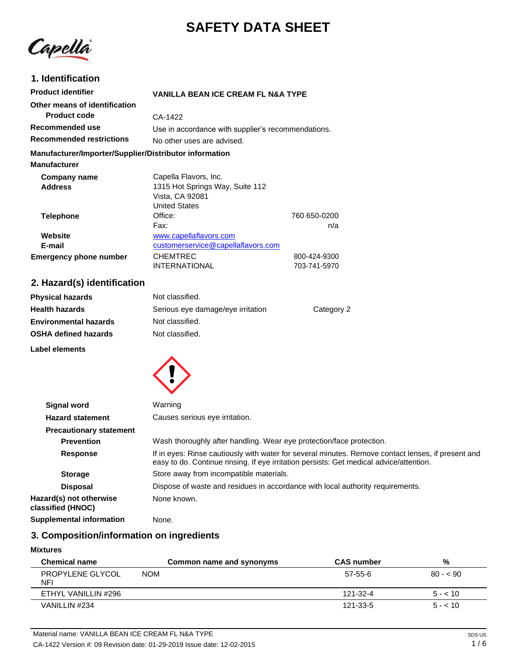# **SAFETY DATA SHEET**

Capellà

# **1. Identification**

| <b>Product identifier</b>                              | <b>VANILLA BEAN ICE CREAM FL N&amp;A TYPE</b>      |              |
|--------------------------------------------------------|----------------------------------------------------|--------------|
| Other means of identification                          |                                                    |              |
| <b>Product code</b>                                    | CA-1422                                            |              |
| Recommended use                                        | Use in accordance with supplier's recommendations. |              |
| <b>Recommended restrictions</b>                        | No other uses are advised.                         |              |
| Manufacturer/Importer/Supplier/Distributor information |                                                    |              |
| <b>Manufacturer</b>                                    |                                                    |              |
| Company name                                           | Capella Flavors, Inc.                              |              |
| <b>Address</b>                                         | 1315 Hot Springs Way, Suite 112                    |              |
|                                                        | Vista, CA 92081                                    |              |
|                                                        | <b>United States</b>                               |              |
| <b>Telephone</b>                                       | Office:                                            | 760 650-0200 |
|                                                        | Fax:                                               | n/a          |
| Website                                                | www.capellaflavors.com                             |              |
| E-mail                                                 | customerservice@capellaflavors.com                 |              |
| <b>Emergency phone number</b>                          | <b>CHEMTREC</b>                                    | 800-424-9300 |
|                                                        | INTERNATIONAL                                      | 703-741-5970 |

# **2. Hazard(s) identification**

| <b>Physical hazards</b>      | Not classified.                   |            |
|------------------------------|-----------------------------------|------------|
| <b>Health hazards</b>        | Serious eye damage/eye irritation | Category 2 |
| <b>Environmental hazards</b> | Not classified.                   |            |
| <b>OSHA defined hazards</b>  | Not classified.                   |            |
|                              |                                   |            |

**Label elements**



| <b>Signal word</b>                           | Warning                                                                                                                                                                                       |
|----------------------------------------------|-----------------------------------------------------------------------------------------------------------------------------------------------------------------------------------------------|
| <b>Hazard statement</b>                      | Causes serious eye irritation.                                                                                                                                                                |
| <b>Precautionary statement</b>               |                                                                                                                                                                                               |
| <b>Prevention</b>                            | Wash thoroughly after handling. Wear eye protection/face protection.                                                                                                                          |
| <b>Response</b>                              | If in eyes: Rinse cautiously with water for several minutes. Remove contact lenses, if present and<br>easy to do. Continue rinsing. If eye irritation persists: Get medical advice/attention. |
| <b>Storage</b>                               | Store away from incompatible materials.                                                                                                                                                       |
| <b>Disposal</b>                              | Dispose of waste and residues in accordance with local authority requirements.                                                                                                                |
| Hazard(s) not otherwise<br>classified (HNOC) | None known.                                                                                                                                                                                   |
| <b>Supplemental information</b>              | None.                                                                                                                                                                                         |

# **3. Composition/information on ingredients**

### **Mixtures**

| <b>Chemical name</b>           | Common name and synonyms | <b>CAS number</b> | %         |
|--------------------------------|--------------------------|-------------------|-----------|
| <b>PROPYLENE GLYCOL</b><br>NFI | <b>NOM</b>               | $57-55-6$         | $80 - 50$ |
| ETHYL VANILLIN #296            |                          | 121-32-4          | $5 - 10$  |
| VANILLIN #234                  |                          | 121-33-5          | $5 - 10$  |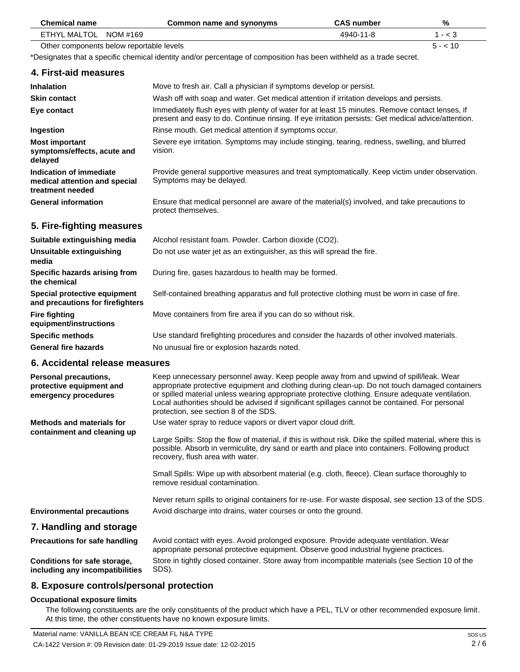| <b>Chemical name</b>                                                             | Common name and synonyms                                                                                                                                                                                                                                                                                                                                                                                                               | <b>CAS number</b> | %         |
|----------------------------------------------------------------------------------|----------------------------------------------------------------------------------------------------------------------------------------------------------------------------------------------------------------------------------------------------------------------------------------------------------------------------------------------------------------------------------------------------------------------------------------|-------------------|-----------|
| NOM #169<br><b>ETHYL MALTOL</b>                                                  |                                                                                                                                                                                                                                                                                                                                                                                                                                        | 4940-11-8         | $1 - < 3$ |
| Other components below reportable levels                                         |                                                                                                                                                                                                                                                                                                                                                                                                                                        |                   | $5 - 10$  |
|                                                                                  | *Designates that a specific chemical identity and/or percentage of composition has been withheld as a trade secret.                                                                                                                                                                                                                                                                                                                    |                   |           |
| 4. First-aid measures                                                            |                                                                                                                                                                                                                                                                                                                                                                                                                                        |                   |           |
| <b>Inhalation</b>                                                                | Move to fresh air. Call a physician if symptoms develop or persist.                                                                                                                                                                                                                                                                                                                                                                    |                   |           |
| <b>Skin contact</b>                                                              | Wash off with soap and water. Get medical attention if irritation develops and persists.                                                                                                                                                                                                                                                                                                                                               |                   |           |
| Eye contact                                                                      | Immediately flush eyes with plenty of water for at least 15 minutes. Remove contact lenses, if<br>present and easy to do. Continue rinsing. If eye irritation persists: Get medical advice/attention.                                                                                                                                                                                                                                  |                   |           |
| Ingestion                                                                        | Rinse mouth. Get medical attention if symptoms occur.                                                                                                                                                                                                                                                                                                                                                                                  |                   |           |
| <b>Most important</b><br>symptoms/effects, acute and<br>delayed                  | Severe eye irritation. Symptoms may include stinging, tearing, redness, swelling, and blurred<br>vision.                                                                                                                                                                                                                                                                                                                               |                   |           |
| Indication of immediate<br>medical attention and special<br>treatment needed     | Provide general supportive measures and treat symptomatically. Keep victim under observation.<br>Symptoms may be delayed.                                                                                                                                                                                                                                                                                                              |                   |           |
| <b>General information</b>                                                       | Ensure that medical personnel are aware of the material(s) involved, and take precautions to<br>protect themselves.                                                                                                                                                                                                                                                                                                                    |                   |           |
| 5. Fire-fighting measures                                                        |                                                                                                                                                                                                                                                                                                                                                                                                                                        |                   |           |
| Suitable extinguishing media                                                     | Alcohol resistant foam. Powder. Carbon dioxide (CO2).                                                                                                                                                                                                                                                                                                                                                                                  |                   |           |
| <b>Unsuitable extinguishing</b><br>media                                         | Do not use water jet as an extinguisher, as this will spread the fire.                                                                                                                                                                                                                                                                                                                                                                 |                   |           |
| Specific hazards arising from<br>the chemical                                    | During fire, gases hazardous to health may be formed.                                                                                                                                                                                                                                                                                                                                                                                  |                   |           |
| Special protective equipment<br>and precautions for firefighters                 | Self-contained breathing apparatus and full protective clothing must be worn in case of fire.                                                                                                                                                                                                                                                                                                                                          |                   |           |
| <b>Fire fighting</b><br>equipment/instructions                                   | Move containers from fire area if you can do so without risk.                                                                                                                                                                                                                                                                                                                                                                          |                   |           |
| <b>Specific methods</b>                                                          | Use standard firefighting procedures and consider the hazards of other involved materials.                                                                                                                                                                                                                                                                                                                                             |                   |           |
| <b>General fire hazards</b>                                                      | No unusual fire or explosion hazards noted.                                                                                                                                                                                                                                                                                                                                                                                            |                   |           |
| 6. Accidental release measures                                                   |                                                                                                                                                                                                                                                                                                                                                                                                                                        |                   |           |
| <b>Personal precautions,</b><br>protective equipment and<br>emergency procedures | Keep unnecessary personnel away. Keep people away from and upwind of spill/leak. Wear<br>appropriate protective equipment and clothing during clean-up. Do not touch damaged containers<br>or spilled material unless wearing appropriate protective clothing. Ensure adequate ventilation.<br>Local authorities should be advised if significant spillages cannot be contained. For personal<br>protection, see section 8 of the SDS. |                   |           |
| <b>Methods and materials for</b>                                                 | Use water spray to reduce vapors or divert vapor cloud drift.                                                                                                                                                                                                                                                                                                                                                                          |                   |           |
| containment and cleaning up                                                      | Large Spills: Stop the flow of material, if this is without risk. Dike the spilled material, where this is<br>possible. Absorb in vermiculite, dry sand or earth and place into containers. Following product<br>recovery, flush area with water.                                                                                                                                                                                      |                   |           |
|                                                                                  | Small Spills: Wipe up with absorbent material (e.g. cloth, fleece). Clean surface thoroughly to<br>remove residual contamination.                                                                                                                                                                                                                                                                                                      |                   |           |
|                                                                                  | Never return spills to original containers for re-use. For waste disposal, see section 13 of the SDS.                                                                                                                                                                                                                                                                                                                                  |                   |           |
| <b>Environmental precautions</b>                                                 | Avoid discharge into drains, water courses or onto the ground.                                                                                                                                                                                                                                                                                                                                                                         |                   |           |
| 7. Handling and storage                                                          |                                                                                                                                                                                                                                                                                                                                                                                                                                        |                   |           |
| <b>Precautions for safe handling</b>                                             | Avoid contact with eyes. Avoid prolonged exposure. Provide adequate ventilation. Wear<br>appropriate personal protective equipment. Observe good industrial hygiene practices.                                                                                                                                                                                                                                                         |                   |           |
| Conditions for safe storage,<br>including any incompatibilities                  | Store in tightly closed container. Store away from incompatible materials (see Section 10 of the<br>SDS).                                                                                                                                                                                                                                                                                                                              |                   |           |

# **8. Exposure controls/personal protection**

## **Occupational exposure limits**

The following constituents are the only constituents of the product which have a PEL, TLV or other recommended exposure limit. At this time, the other constituents have no known exposure limits.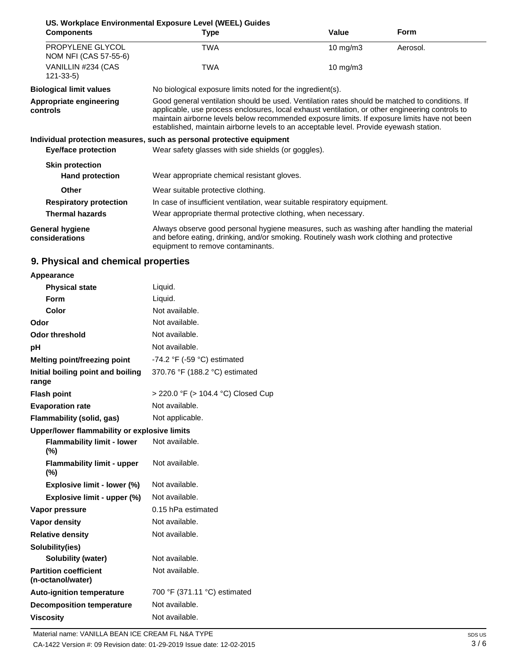| US. Workplace Environmental Exposure Level (WEEL) Guides |                                                                                                                                                                                                                                                                                                                                                                                             |             |             |
|----------------------------------------------------------|---------------------------------------------------------------------------------------------------------------------------------------------------------------------------------------------------------------------------------------------------------------------------------------------------------------------------------------------------------------------------------------------|-------------|-------------|
| <b>Components</b>                                        | <b>Type</b>                                                                                                                                                                                                                                                                                                                                                                                 | Value       | <b>Form</b> |
| PROPYLENE GLYCOL<br>NOM NFI (CAS 57-55-6)                | <b>TWA</b>                                                                                                                                                                                                                                                                                                                                                                                  | 10 mg/m $3$ | Aerosol.    |
| VANILLIN #234 (CAS<br>$121 - 33 - 5$                     | <b>TWA</b>                                                                                                                                                                                                                                                                                                                                                                                  | 10 mg/m $3$ |             |
| <b>Biological limit values</b>                           | No biological exposure limits noted for the ingredient(s).                                                                                                                                                                                                                                                                                                                                  |             |             |
| Appropriate engineering<br>controls                      | Good general ventilation should be used. Ventilation rates should be matched to conditions. If<br>applicable, use process enclosures, local exhaust ventilation, or other engineering controls to<br>maintain airborne levels below recommended exposure limits. If exposure limits have not been<br>established, maintain airborne levels to an acceptable level. Provide eyewash station. |             |             |
|                                                          | Individual protection measures, such as personal protective equipment                                                                                                                                                                                                                                                                                                                       |             |             |
| Eye/face protection                                      | Wear safety glasses with side shields (or goggles).                                                                                                                                                                                                                                                                                                                                         |             |             |
| <b>Skin protection</b>                                   |                                                                                                                                                                                                                                                                                                                                                                                             |             |             |
| <b>Hand protection</b>                                   | Wear appropriate chemical resistant gloves.                                                                                                                                                                                                                                                                                                                                                 |             |             |
| <b>Other</b>                                             | Wear suitable protective clothing.                                                                                                                                                                                                                                                                                                                                                          |             |             |
| <b>Respiratory protection</b>                            | In case of insufficient ventilation, wear suitable respiratory equipment.                                                                                                                                                                                                                                                                                                                   |             |             |
| <b>Thermal hazards</b>                                   | Wear appropriate thermal protective clothing, when necessary.                                                                                                                                                                                                                                                                                                                               |             |             |
| <b>General hygiene</b><br>considerations                 | Always observe good personal hygiene measures, such as washing after handling the material<br>and before eating, drinking, and/or smoking. Routinely wash work clothing and protective<br>equipment to remove contaminants.                                                                                                                                                                 |             |             |

# **9. Physical and chemical properties**

| Appearance                                        |                                               |
|---------------------------------------------------|-----------------------------------------------|
| <b>Physical state</b>                             | Liquid.                                       |
| Form                                              | Liquid.                                       |
| Color                                             | Not available.                                |
| Odor                                              | Not available.                                |
| <b>Odor threshold</b>                             | Not available.                                |
| рH                                                | Not available.                                |
| <b>Melting point/freezing point</b>               | -74.2 $\degree$ F (-59 $\degree$ C) estimated |
| Initial boiling point and boiling<br>range        | 370.76 °F (188.2 °C) estimated                |
| <b>Flash point</b>                                | > 220.0 °F (> 104.4 °C) Closed Cup            |
| <b>Evaporation rate</b>                           | Not available.                                |
| Flammability (solid, gas)                         | Not applicable.                               |
| Upper/lower flammability or explosive limits      |                                               |
| <b>Flammability limit - lower</b><br>(%)          | Not available.                                |
| <b>Flammability limit - upper</b><br>$(\%)$       | Not available.                                |
| Explosive limit - lower (%)                       | Not available.                                |
| Explosive limit - upper (%)                       | Not available.                                |
| Vapor pressure                                    | 0.15 hPa estimated                            |
| <b>Vapor density</b>                              | Not available.                                |
| <b>Relative density</b>                           | Not available.                                |
| Solubility(ies)                                   |                                               |
| <b>Solubility (water)</b>                         | Not available.                                |
| <b>Partition coefficient</b><br>(n-octanol/water) | Not available.                                |
| <b>Auto-ignition temperature</b>                  | 700 °F (371.11 °C) estimated                  |
| <b>Decomposition temperature</b>                  | Not available.                                |
| <b>Viscosity</b>                                  | Not available.                                |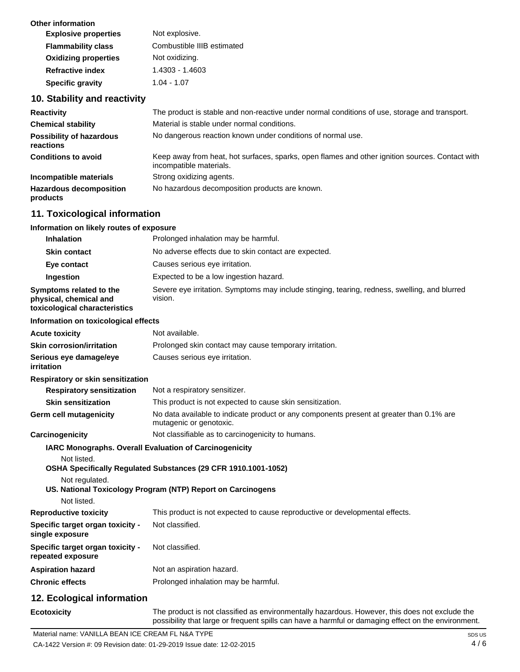| Other information           |                            |
|-----------------------------|----------------------------|
| <b>Explosive properties</b> | Not explosive.             |
| <b>Flammability class</b>   | Combustible IIIB estimated |
| <b>Oxidizing properties</b> | Not oxidizing.             |
| <b>Refractive index</b>     | 1.4303 - 1.4603            |
| <b>Specific gravity</b>     | $1.04 - 1.07$              |
|                             |                            |

# **10. Stability and reactivity**

| <b>Reactivity</b>                            | The product is stable and non-reactive under normal conditions of use, storage and transport.                              |
|----------------------------------------------|----------------------------------------------------------------------------------------------------------------------------|
| <b>Chemical stability</b>                    | Material is stable under normal conditions.                                                                                |
| <b>Possibility of hazardous</b><br>reactions | No dangerous reaction known under conditions of normal use.                                                                |
| <b>Conditions to avoid</b>                   | Keep away from heat, hot surfaces, sparks, open flames and other ignition sources. Contact with<br>incompatible materials. |
| Incompatible materials                       | Strong oxidizing agents.                                                                                                   |
| <b>Hazardous decomposition</b><br>products   | No hazardous decomposition products are known.                                                                             |

# **11. Toxicological information**

| Information on likely routes of exposure                                           |                                                                                                                     |
|------------------------------------------------------------------------------------|---------------------------------------------------------------------------------------------------------------------|
| <b>Inhalation</b>                                                                  | Prolonged inhalation may be harmful.                                                                                |
| <b>Skin contact</b>                                                                | No adverse effects due to skin contact are expected.                                                                |
| Eye contact                                                                        | Causes serious eye irritation.                                                                                      |
| Ingestion                                                                          | Expected to be a low ingestion hazard.                                                                              |
| Symptoms related to the<br>physical, chemical and<br>toxicological characteristics | Severe eye irritation. Symptoms may include stinging, tearing, redness, swelling, and blurred<br>vision.            |
| Information on toxicological effects                                               |                                                                                                                     |
| <b>Acute toxicity</b>                                                              | Not available.                                                                                                      |
| <b>Skin corrosion/irritation</b>                                                   | Prolonged skin contact may cause temporary irritation.                                                              |
| Serious eye damage/eye<br>irritation                                               | Causes serious eye irritation.                                                                                      |
| Respiratory or skin sensitization                                                  |                                                                                                                     |
| <b>Respiratory sensitization</b>                                                   | Not a respiratory sensitizer.                                                                                       |
| <b>Skin sensitization</b>                                                          | This product is not expected to cause skin sensitization.                                                           |
| Germ cell mutagenicity                                                             | No data available to indicate product or any components present at greater than 0.1% are<br>mutagenic or genotoxic. |
| Carcinogenicity                                                                    | Not classifiable as to carcinogenicity to humans.                                                                   |
| Not listed.                                                                        | IARC Monographs. Overall Evaluation of Carcinogenicity                                                              |
| Not regulated.                                                                     | OSHA Specifically Regulated Substances (29 CFR 1910.1001-1052)                                                      |
|                                                                                    | US. National Toxicology Program (NTP) Report on Carcinogens                                                         |
| Not listed.                                                                        |                                                                                                                     |
| <b>Reproductive toxicity</b>                                                       | This product is not expected to cause reproductive or developmental effects.                                        |
| Specific target organ toxicity -<br>single exposure                                | Not classified.                                                                                                     |
| Specific target organ toxicity -<br>repeated exposure                              | Not classified.                                                                                                     |
| <b>Aspiration hazard</b>                                                           | Not an aspiration hazard.                                                                                           |
| <b>Chronic effects</b>                                                             | Prolonged inhalation may be harmful.                                                                                |
| 12. Ecological information                                                         |                                                                                                                     |
| Ecotoxicity                                                                        | The product is not classified as environmentally hazardous. However, this does not exclude the                      |

possibility that large or frequent spills can have a harmful or damaging effect on the environment.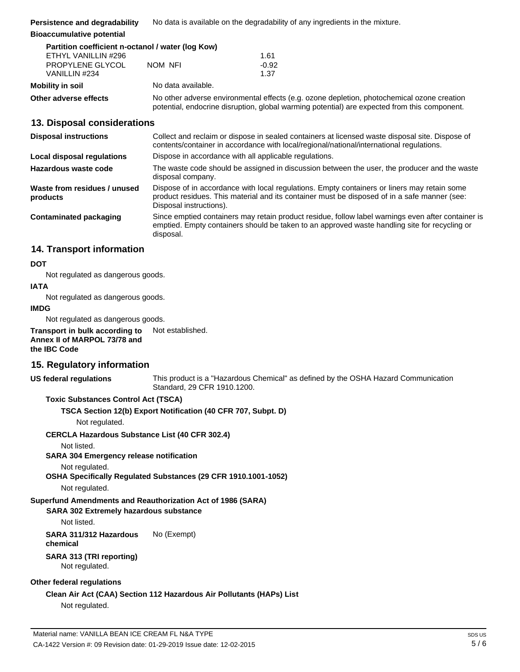| Persistence and degradability | No data is available on the degradability of any ingredients in the mixture. |
|-------------------------------|------------------------------------------------------------------------------|
|-------------------------------|------------------------------------------------------------------------------|

**Bioaccumulative potential**

| Partition coefficient n-octanol / water (log Kow) |                    |                 |
|---------------------------------------------------|--------------------|-----------------|
| ETHYL VANILLIN #296                               |                    | 1.61            |
| PROPYLENE GLYCOL<br>VANILLIN #234                 | NOM NFI            | $-0.92$<br>1.37 |
| Mobility in soil                                  | No data available. |                 |

**Other adverse effects** No other adverse environmental effects (e.g. ozone depletion, photochemical ozone creation potential, endocrine disruption, global warming potential) are expected from this component.

# **13. Disposal considerations**

| <b>Disposal instructions</b>             | Collect and reclaim or dispose in sealed containers at licensed waste disposal site. Dispose of<br>contents/container in accordance with local/regional/national/international regulations.                            |
|------------------------------------------|------------------------------------------------------------------------------------------------------------------------------------------------------------------------------------------------------------------------|
| Local disposal regulations               | Dispose in accordance with all applicable regulations.                                                                                                                                                                 |
| Hazardous waste code                     | The waste code should be assigned in discussion between the user, the producer and the waste<br>disposal company.                                                                                                      |
| Waste from residues / unused<br>products | Dispose of in accordance with local regulations. Empty containers or liners may retain some<br>product residues. This material and its container must be disposed of in a safe manner (see:<br>Disposal instructions). |
| Contaminated packaging                   | Since emptied containers may retain product residue, follow label warnings even after container is<br>emptied. Empty containers should be taken to an approved waste handling site for recycling or<br>disposal.       |

# **14. Transport information**

### **DOT**

Not regulated as dangerous goods.

### **IATA**

Not regulated as dangerous goods.

### **IMDG**

Not regulated as dangerous goods.

**Transport in bulk according to Annex II of MARPOL 73/78 and the IBC Code** Not established.

# **15. Regulatory information**

**US federal regulations**

This product is a "Hazardous Chemical" as defined by the OSHA Hazard Communication Standard, 29 CFR 1910.1200.

**Toxic Substances Control Act (TSCA)**

**TSCA Section 12(b) Export Notification (40 CFR 707, Subpt. D)**

Not regulated.

**CERCLA Hazardous Substance List (40 CFR 302.4)**

Not listed.

**SARA 304 Emergency release notification**

Not regulated.

**OSHA Specifically Regulated Substances (29 CFR 1910.1001-1052)**

Not regulated.

# **Superfund Amendments and Reauthorization Act of 1986 (SARA)**

# **SARA 302 Extremely hazardous substance**

Not listed.

**SARA 311/312 Hazardous**  No (Exempt)

**chemical**

# **SARA 313 (TRI reporting)**

Not regulated.

### **Other federal regulations**

**Clean Air Act (CAA) Section 112 Hazardous Air Pollutants (HAPs) List**

Not regulated.